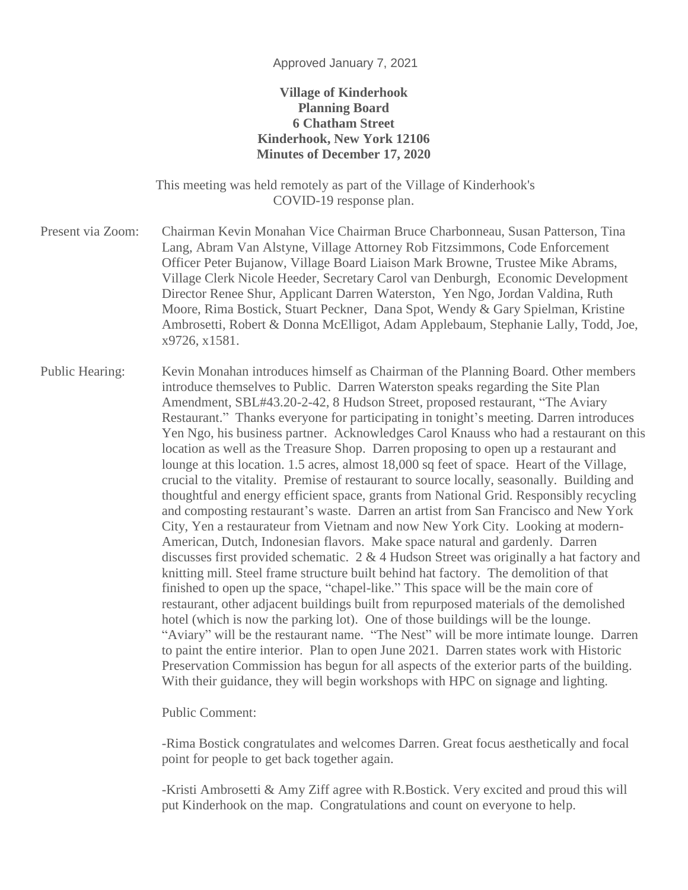## Approved January 7, 2021

## **Village of Kinderhook Planning Board 6 Chatham Street Kinderhook, New York 12106 Minutes of December 17, 2020**

This meeting was held remotely as part of the Village of Kinderhook's COVID-19 response plan.

Present via Zoom: Chairman Kevin Monahan Vice Chairman Bruce Charbonneau, Susan Patterson, Tina Lang, Abram Van Alstyne, Village Attorney Rob Fitzsimmons, Code Enforcement Officer Peter Bujanow, Village Board Liaison Mark Browne, Trustee Mike Abrams, Village Clerk Nicole Heeder, Secretary Carol van Denburgh, Economic Development Director Renee Shur, Applicant Darren Waterston, Yen Ngo, Jordan Valdina, Ruth Moore, Rima Bostick, Stuart Peckner, Dana Spot, Wendy & Gary Spielman, Kristine Ambrosetti, Robert & Donna McElligot, Adam Applebaum, Stephanie Lally, Todd, Joe, x9726, x1581.

Public Hearing: Kevin Monahan introduces himself as Chairman of the Planning Board. Other members introduce themselves to Public. Darren Waterston speaks regarding the Site Plan Amendment, SBL#43.20-2-42, 8 Hudson Street, proposed restaurant, "The Aviary Restaurant." Thanks everyone for participating in tonight's meeting. Darren introduces Yen Ngo, his business partner. Acknowledges Carol Knauss who had a restaurant on this location as well as the Treasure Shop. Darren proposing to open up a restaurant and lounge at this location. 1.5 acres, almost 18,000 sq feet of space. Heart of the Village, crucial to the vitality. Premise of restaurant to source locally, seasonally. Building and thoughtful and energy efficient space, grants from National Grid. Responsibly recycling and composting restaurant's waste. Darren an artist from San Francisco and New York City, Yen a restaurateur from Vietnam and now New York City. Looking at modern-American, Dutch, Indonesian flavors. Make space natural and gardenly. Darren discusses first provided schematic. 2 & 4 Hudson Street was originally a hat factory and knitting mill. Steel frame structure built behind hat factory. The demolition of that finished to open up the space, "chapel-like." This space will be the main core of restaurant, other adjacent buildings built from repurposed materials of the demolished hotel (which is now the parking lot). One of those buildings will be the lounge. "Aviary" will be the restaurant name. "The Nest" will be more intimate lounge. Darren to paint the entire interior. Plan to open June 2021. Darren states work with Historic Preservation Commission has begun for all aspects of the exterior parts of the building. With their guidance, they will begin workshops with HPC on signage and lighting.

Public Comment:

-Rima Bostick congratulates and welcomes Darren. Great focus aesthetically and focal point for people to get back together again.

-Kristi Ambrosetti & Amy Ziff agree with R.Bostick. Very excited and proud this will put Kinderhook on the map. Congratulations and count on everyone to help.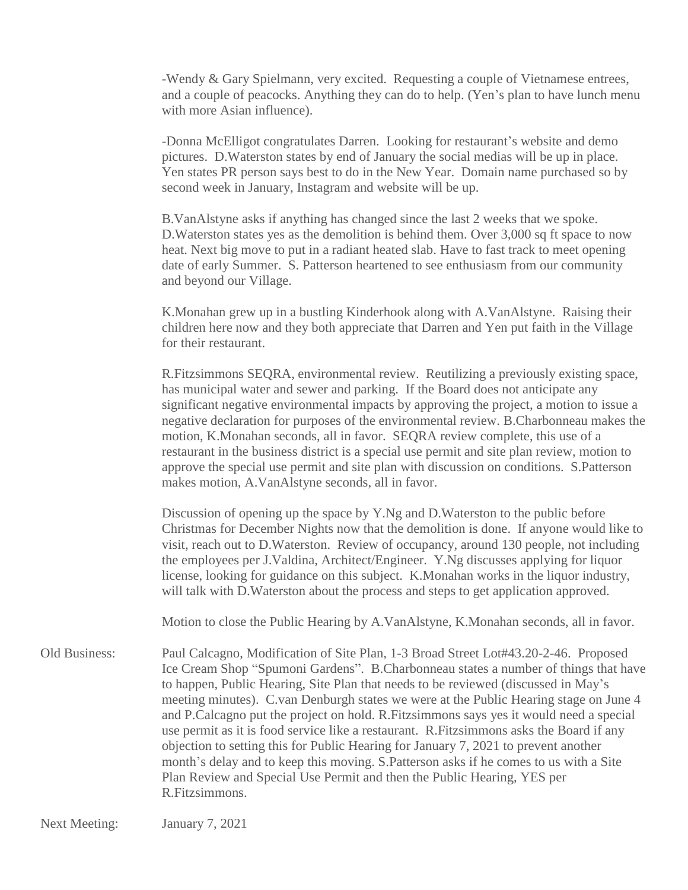-Wendy & Gary Spielmann, very excited. Requesting a couple of Vietnamese entrees, and a couple of peacocks. Anything they can do to help. (Yen's plan to have lunch menu with more Asian influence).

-Donna McElligot congratulates Darren. Looking for restaurant's website and demo pictures. D.Waterston states by end of January the social medias will be up in place. Yen states PR person says best to do in the New Year. Domain name purchased so by second week in January, Instagram and website will be up.

B.VanAlstyne asks if anything has changed since the last 2 weeks that we spoke. D.Waterston states yes as the demolition is behind them. Over 3,000 sq ft space to now heat. Next big move to put in a radiant heated slab. Have to fast track to meet opening date of early Summer. S. Patterson heartened to see enthusiasm from our community and beyond our Village.

K.Monahan grew up in a bustling Kinderhook along with A.VanAlstyne. Raising their children here now and they both appreciate that Darren and Yen put faith in the Village for their restaurant.

R.Fitzsimmons SEQRA, environmental review. Reutilizing a previously existing space, has municipal water and sewer and parking. If the Board does not anticipate any significant negative environmental impacts by approving the project, a motion to issue a negative declaration for purposes of the environmental review. B.Charbonneau makes the motion, K.Monahan seconds, all in favor. SEQRA review complete, this use of a restaurant in the business district is a special use permit and site plan review, motion to approve the special use permit and site plan with discussion on conditions. S.Patterson makes motion, A.VanAlstyne seconds, all in favor.

Discussion of opening up the space by Y.Ng and D.Waterston to the public before Christmas for December Nights now that the demolition is done. If anyone would like to visit, reach out to D.Waterston. Review of occupancy, around 130 people, not including the employees per J.Valdina, Architect/Engineer. Y.Ng discusses applying for liquor license, looking for guidance on this subject. K.Monahan works in the liquor industry, will talk with D.Waterston about the process and steps to get application approved.

Motion to close the Public Hearing by A.VanAlstyne, K.Monahan seconds, all in favor.

Old Business: Paul Calcagno, Modification of Site Plan, 1-3 Broad Street Lot#43.20-2-46. Proposed Ice Cream Shop "Spumoni Gardens". B.Charbonneau states a number of things that have to happen, Public Hearing, Site Plan that needs to be reviewed (discussed in May's meeting minutes). C.van Denburgh states we were at the Public Hearing stage on June 4 and P.Calcagno put the project on hold. R.Fitzsimmons says yes it would need a special use permit as it is food service like a restaurant. R.Fitzsimmons asks the Board if any objection to setting this for Public Hearing for January 7, 2021 to prevent another month's delay and to keep this moving. S.Patterson asks if he comes to us with a Site Plan Review and Special Use Permit and then the Public Hearing, YES per R.Fitzsimmons.

Next Meeting: January 7, 2021